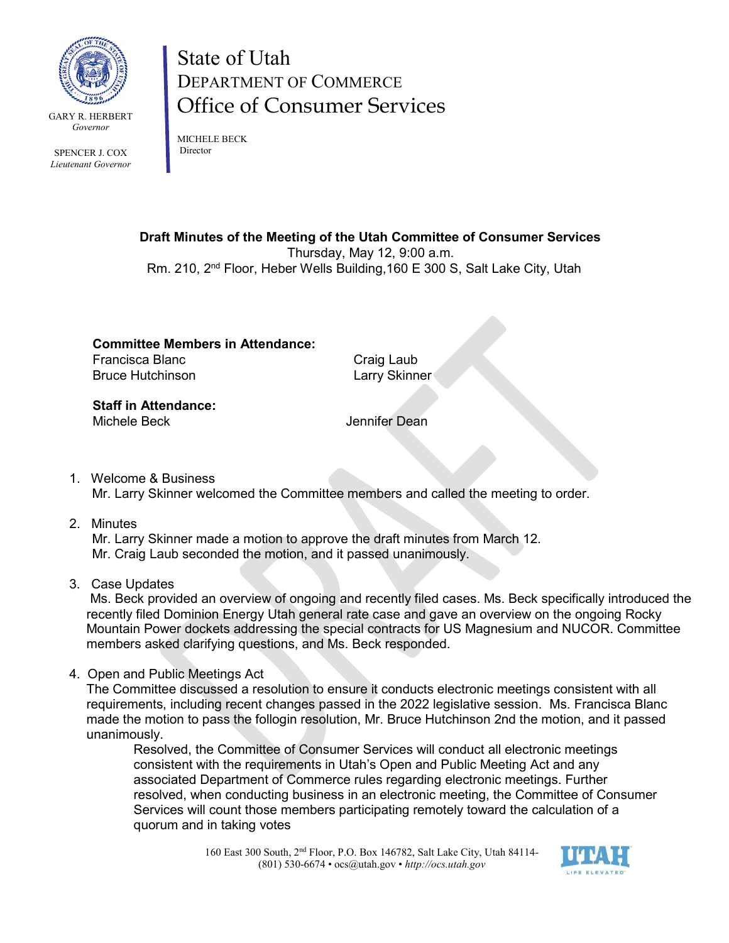

SPENCER J. COX *Lieutenant Governor* State of Utah DEPARTMENT OF COMMERCE Office of Consumer Services

MICHELE BECK Director

**Draft Minutes of the Meeting of the Utah Committee of Consumer Services**

Thursday, May 12, 9:00 a.m.

Rm. 210, 2nd Floor, Heber Wells Building,160 E 300 S, Salt Lake City, Utah

**Committee Members in Attendance:** Francisca Blanc **Craig Laub** Bruce Hutchinson **Larry Skinner** 

**Staff in Attendance:** Michele Beck **Interpretational Section** Senator Jennifer Dean

- 1. Welcome & Business Mr. Larry Skinner welcomed the Committee members and called the meeting to order.
- 2. Minutes

 Mr. Larry Skinner made a motion to approve the draft minutes from March 12. Mr. Craig Laub seconded the motion, and it passed unanimously.

3. Case Updates

Ms. Beck provided an overview of ongoing and recently filed cases. Ms. Beck specifically introduced the recently filed Dominion Energy Utah general rate case and gave an overview on the ongoing Rocky Mountain Power dockets addressing the special contracts for US Magnesium and NUCOR. Committee members asked clarifying questions, and Ms. Beck responded.

4. Open and Public Meetings Act

The Committee discussed a resolution to ensure it conducts electronic meetings consistent with all requirements, including recent changes passed in the 2022 legislative session. Ms. Francisca Blanc made the motion to pass the follogin resolution, Mr. Bruce Hutchinson 2nd the motion, and it passed unanimously.

Resolved, the Committee of Consumer Services will conduct all electronic meetings consistent with the requirements in Utah's Open and Public Meeting Act and any associated Department of Commerce rules regarding electronic meetings. Further resolved, when conducting business in an electronic meeting, the Committee of Consumer Services will count those members participating remotely toward the calculation of a quorum and in taking votes